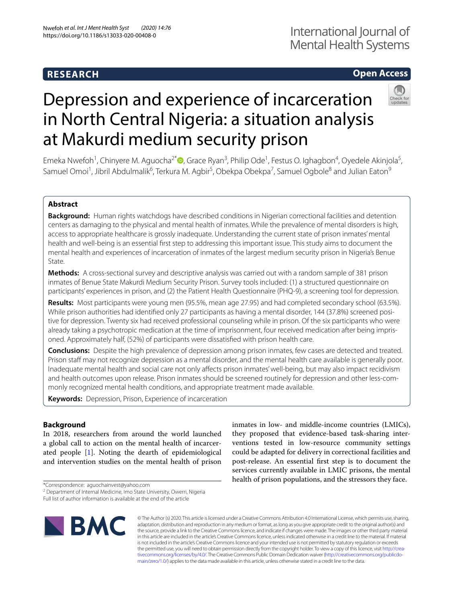# **RESEARCH**

# **Open Access**



# Depression and experience of incarceration in North Central Nigeria: a situation analysis at Makurdi medium security prison

Emeka Nwefoh<sup>1</sup>[,](http://orcid.org/0000-0001-5798-8900) Chinyere M. Aguocha<sup>2\*</sup><sup>®</sup>, Grace Ryan<sup>3</sup>, Philip Ode<sup>1</sup>, Festus O. Ighagbon<sup>4</sup>, Oyedele Akinjola<sup>5</sup>, Samuel Omoi<sup>1</sup>, Jibril Abdulmalik<sup>6</sup>, Terkura M. Agbir<sup>5</sup>, Obekpa Obekpa<sup>7</sup>, Samuel Ogbole<sup>8</sup> and Julian Eaton<sup>9</sup>

# **Abstract**

**Background:** Human rights watchdogs have described conditions in Nigerian correctional facilities and detention centers as damaging to the physical and mental health of inmates. While the prevalence of mental disorders is high, access to appropriate healthcare is grossly inadequate. Understanding the current state of prison inmates' mental health and well-being is an essential frst step to addressing this important issue. This study aims to document the mental health and experiences of incarceration of inmates of the largest medium security prison in Nigeria's Benue State.

**Methods:** A cross-sectional survey and descriptive analysis was carried out with a random sample of 381 prison inmates of Benue State Makurdi Medium Security Prison. Survey tools included: (1) a structured questionnaire on participants' experiences in prison, and (2) the Patient Health Questionnaire (PHQ-9), a screening tool for depression.

**Results:** Most participants were young men (95.5%, mean age 27.95) and had completed secondary school (63.5%). While prison authorities had identified only 27 participants as having a mental disorder, 144 (37.8%) screened positive for depression. Twenty six had received professional counseling while in prison. Of the six participants who were already taking a psychotropic medication at the time of imprisonment, four received medication after being imprisoned. Approximately half, (52%) of participants were dissatisfed with prison health care.

**Conclusions:** Despite the high prevalence of depression among prison inmates, few cases are detected and treated. Prison staff may not recognize depression as a mental disorder, and the mental health care available is generally poor. Inadequate mental health and social care not only afects prison inmates' well-being, but may also impact recidivism and health outcomes upon release. Prison inmates should be screened routinely for depression and other less-commonly recognized mental health conditions, and appropriate treatment made available.

**Keywords:** Depression, Prison, Experience of incarceration

# <span id="page-0-0"></span>**Background**

In 2018, researchers from around the world launched a global call to action on the mental health of incarcerated people [\[1](#page-11-0)]. Noting the dearth of epidemiological and intervention studies on the mental health of prison

Full list of author information is available at the end of the article



© The Author (s) 2020. This article is licensed under a Creative Commons Attribution 4.0 International License, which permits use, sharing, adaptation, distribution and reproduction in any medium or format, as long as you give appropriate credit to the original author(s) and the source, provide a link to the Creative Commons licence, and indicate if changes were made. The images or other third party material in this article are included in the article's Creative Commons licence, unless indicated otherwise in a credit line to the material. If material is not included in the article's Creative Commons licence and your intended use is not permitted by statutory regulation or exceeds the permitted use, you will need to obtain permission directly from the copyright holder. To view a copy of this licence, visit [http://crea](http://creativecommons.org/licenses/by/4.0/)[tivecommons.org/licenses/by/4.0/.](http://creativecommons.org/licenses/by/4.0/) The Creative Commons Public Domain Dedication waiver ([http://creativecommons.org/publicdo](http://creativecommons.org/publicdomain/zero/1.0/)[main/zero/1.0/\)](http://creativecommons.org/publicdomain/zero/1.0/) applies to the data made available in this article, unless otherwise stated in a credit line to the data.

inmates in low- and middle-income countries (LMICs), they proposed that evidence-based task-sharing interventions tested in low-resource community settings could be adapted for delivery in correctional facilities and post-release. An essential frst step is to document the services currently available in LMIC prisons, the mental health of prison populations, and the stressors they face.

<sup>\*</sup>Correspondence: aguochainvest@yahoo.com

<sup>&</sup>lt;sup>2</sup> Department of Internal Medicine, Imo State University, Owerri, Nigeria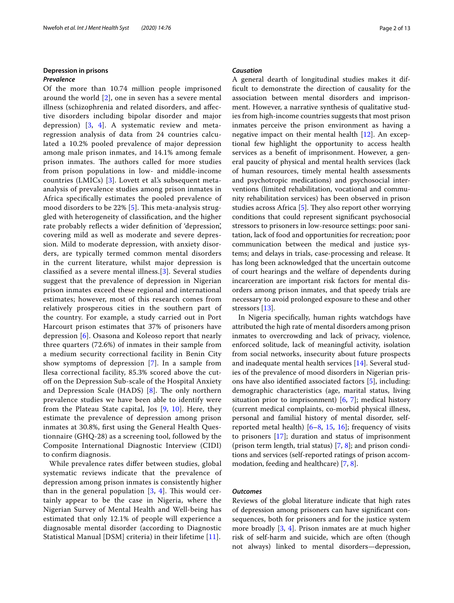# **Depression in prisons**

# *Prevalence*

Of the more than 10.74 million people imprisoned around the world [[2](#page-11-1)], one in seven has a severe mental illness (schizophrenia and related disorders, and afective disorders including bipolar disorder and major depression) [[3](#page-11-2), [4\]](#page-11-3). A systematic review and metaregression analysis of data from 24 countries calculated a 10.2% pooled prevalence of major depression among male prison inmates, and 14.1% among female prison inmates. The authors called for more studies from prison populations in low- and middle-income countries (LMICs) [[3](#page-11-2)]. Lovett et al.'s subsequent metaanalysis of prevalence studies among prison inmates in Africa specifcally estimates the pooled prevalence of mood disorders to be 22% [[5\]](#page-11-4). This meta-analysis struggled with heterogeneity of classifcation, and the higher rate probably refects a wider defnition of 'depression', covering mild as well as moderate and severe depression. Mild to moderate depression, with anxiety disorders, are typically termed common mental disorders in the current literature, whilst major depression is classifed as a severe mental illness.[[3](#page-11-2)]. Several studies suggest that the prevalence of depression in Nigerian prison inmates exceed these regional and international estimates; however, most of this research comes from relatively prosperous cities in the southern part of the country. For example, a study carried out in Port Harcourt prison estimates that 37% of prisoners have depression [\[6](#page-11-5)]. Osasona and Koleoso report that nearly three quarters (72.6%) of inmates in their sample from a medium security correctional facility in Benin City show symptoms of depression [[7\]](#page-12-0). In a sample from Ilesa correctional facility, 85.3% scored above the cutof on the Depression Sub-scale of the Hospital Anxiety and Depression Scale (HADS)  $[8]$  $[8]$ . The only northern prevalence studies we have been able to identify were from the Plateau State capital, Jos  $[9, 10]$  $[9, 10]$  $[9, 10]$  $[9, 10]$  $[9, 10]$ . Here, they estimate the prevalence of depression among prison inmates at 30.8%, frst using the General Health Questionnaire (GHQ-28) as a screening tool, followed by the Composite International Diagnostic Interview (CIDI) to confrm diagnosis.

While prevalence rates difer between studies, global systematic reviews indicate that the prevalence of depression among prison inmates is consistently higher than in the general population  $[3, 4]$  $[3, 4]$  $[3, 4]$  $[3, 4]$  $[3, 4]$ . This would certainly appear to be the case in Nigeria, where the Nigerian Survey of Mental Health and Well-being has estimated that only 12.1% of people will experience a diagnosable mental disorder (according to Diagnostic Statistical Manual [DSM] criteria) in their lifetime [[11\]](#page-12-4).

# *Causation*

A general dearth of longitudinal studies makes it difficult to demonstrate the direction of causality for the association between mental disorders and imprisonment. However, a narrative synthesis of qualitative studies from high-income countries suggests that most prison inmates perceive the prison environment as having a negative impact on their mental health [[12](#page-12-5)]. An exceptional few highlight the opportunity to access health services as a beneft of imprisonment. However, a general paucity of physical and mental health services (lack of human resources, timely mental health assessments and psychotropic medications) and psychosocial interventions (limited rehabilitation, vocational and community rehabilitation services) has been observed in prison studies across Africa  $[5]$  $[5]$ . They also report other worrying conditions that could represent signifcant psychosocial stressors to prisoners in low-resource settings: poor sanitation, lack of food and opportunities for recreation; poor communication between the medical and justice systems; and delays in trials, case-processing and release. It has long been acknowledged that the uncertain outcome of court hearings and the welfare of dependents during incarceration are important risk factors for mental disorders among prison inmates, and that speedy trials are necessary to avoid prolonged exposure to these and other stressors [[13\]](#page-12-6).

In Nigeria specifcally, human rights watchdogs have attributed the high rate of mental disorders among prison inmates to overcrowding and lack of privacy, violence, enforced solitude, lack of meaningful activity, isolation from social networks, insecurity about future prospects and inadequate mental health services [\[14](#page-12-7)]. Several studies of the prevalence of mood disorders in Nigerian prisons have also identifed associated factors [\[5](#page-11-4)], including: demographic characteristics (age, marital status, living situation prior to imprisonment)  $[6, 7]$  $[6, 7]$  $[6, 7]$  $[6, 7]$ ; medical history (current medical complaints, co-morbid physical illness, personal and familial history of mental disorder, selfreported metal health)  $[6-8, 15, 16]$  $[6-8, 15, 16]$  $[6-8, 15, 16]$  $[6-8, 15, 16]$  $[6-8, 15, 16]$  $[6-8, 15, 16]$ ; frequency of visits to prisoners [[17](#page-12-10)]; duration and status of imprisonment (prison term length, trial status)  $[7, 8]$  $[7, 8]$  $[7, 8]$  $[7, 8]$ ; and prison conditions and services (self-reported ratings of prison accommodation, feeding and healthcare) [\[7](#page-12-0), [8\]](#page-12-1).

#### *Outcomes*

Reviews of the global literature indicate that high rates of depression among prisoners can have signifcant consequences, both for prisoners and for the justice system more broadly [\[3](#page-11-2), [4](#page-11-3)]. Prison inmates are at much higher risk of self-harm and suicide, which are often (though not always) linked to mental disorders—depression,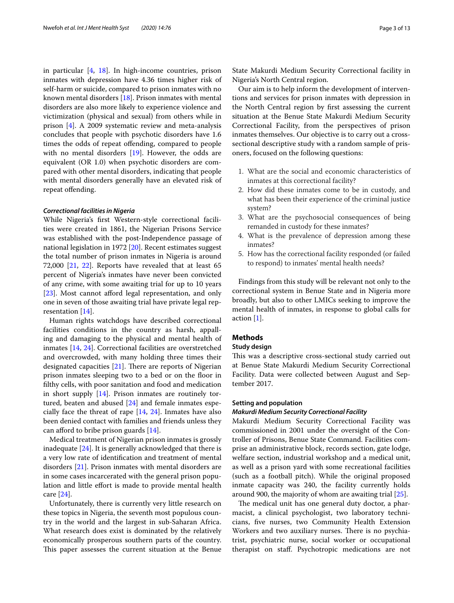in particular [\[4](#page-11-3), [18\]](#page-12-11). In high-income countries, prison inmates with depression have 4.36 times higher risk of self-harm or suicide, compared to prison inmates with no known mental disorders [[18\]](#page-12-11). Prison inmates with mental disorders are also more likely to experience violence and victimization (physical and sexual) from others while in prison [[4\]](#page-11-3). A 2009 systematic review and meta-analysis concludes that people with psychotic disorders have 1.6 times the odds of repeat offending, compared to people with no mental disorders [\[19](#page-12-12)]. However, the odds are equivalent (OR 1.0) when psychotic disorders are compared with other mental disorders, indicating that people with mental disorders generally have an elevated risk of repeat offending.

## *Correctional facilities in Nigeria*

While Nigeria's frst Western-style correctional facilities were created in 1861, the Nigerian Prisons Service was established with the post-Independence passage of national legislation in 1972 [[20\]](#page-12-13). Recent estimates suggest the total number of prison inmates in Nigeria is around 72,000 [\[21,](#page-12-14) [22](#page-12-15)]. Reports have revealed that at least 65 percent of Nigeria's inmates have never been convicted of any crime, with some awaiting trial for up to 10 years [[23\]](#page-12-16). Most cannot afford legal representation, and only one in seven of those awaiting trial have private legal representation [\[14](#page-12-7)].

Human rights watchdogs have described correctional facilities conditions in the country as harsh, appalling and damaging to the physical and mental health of inmates [[14,](#page-12-7) [24\]](#page-12-17). Correctional facilities are overstretched and overcrowded, with many holding three times their designated capacities  $[21]$ . There are reports of Nigerian prison inmates sleeping two to a bed or on the floor in flthy cells, with poor sanitation and food and medication in short supply [\[14](#page-12-7)]. Prison inmates are routinely tortured, beaten and abused [\[24](#page-12-17)] and female inmates especially face the threat of rape [[14,](#page-12-7) [24](#page-12-17)]. Inmates have also been denied contact with families and friends unless they can afford to bribe prison guards  $[14]$  $[14]$ .

Medical treatment of Nigerian prison inmates is grossly inadequate [\[24](#page-12-17)]. It is generally acknowledged that there is a very low rate of identifcation and treatment of mental disorders [[21\]](#page-12-14). Prison inmates with mental disorders are in some cases incarcerated with the general prison population and little effort is made to provide mental health care [\[24](#page-12-17)].

Unfortunately, there is currently very little research on these topics in Nigeria, the seventh most populous country in the world and the largest in sub-Saharan Africa. What research does exist is dominated by the relatively economically prosperous southern parts of the country. This paper assesses the current situation at the Benue State Makurdi Medium Security Correctional facility in Nigeria's North Central region.

Our aim is to help inform the development of interventions and services for prison inmates with depression in the North Central region by frst assessing the current situation at the Benue State Makurdi Medium Security Correctional Facility, from the perspectives of prison inmates themselves. Our objective is to carry out a crosssectional descriptive study with a random sample of prisoners, focused on the following questions:

- 1. What are the social and economic characteristics of inmates at this correctional facility?
- 2. How did these inmates come to be in custody, and what has been their experience of the criminal justice system?
- 3. What are the psychosocial consequences of being remanded in custody for these inmates?
- 4. What is the prevalence of depression among these inmates?
- 5. How has the correctional facility responded (or failed to respond) to inmates' mental health needs?

Findings from this study will be relevant not only to the correctional system in Benue State and in Nigeria more broadly, but also to other LMICs seeking to improve the mental health of inmates, in response to global calls for action [[1\]](#page-11-0).

# <span id="page-2-0"></span>**Methods**

#### **Study design**

This was a descriptive cross-sectional study carried out at Benue State Makurdi Medium Security Correctional Facility. Data were collected between August and September 2017.

# **Setting and population**

#### *Makurdi Medium Security Correctional Facility*

Makurdi Medium Security Correctional Facility was commissioned in 2001 under the oversight of the Controller of Prisons, Benue State Command. Facilities comprise an administrative block, records section, gate lodge, welfare section, industrial workshop and a medical unit, as well as a prison yard with some recreational facilities (such as a football pitch). While the original proposed inmate capacity was 240, the facility currently holds around 900, the majority of whom are awaiting trial [\[25](#page-12-18)].

The medical unit has one general duty doctor, a pharmacist, a clinical psychologist, two laboratory technicians, fve nurses, two Community Health Extension Workers and two auxiliary nurses. There is no psychiatrist, psychiatric nurse, social worker or occupational therapist on staf. Psychotropic medications are not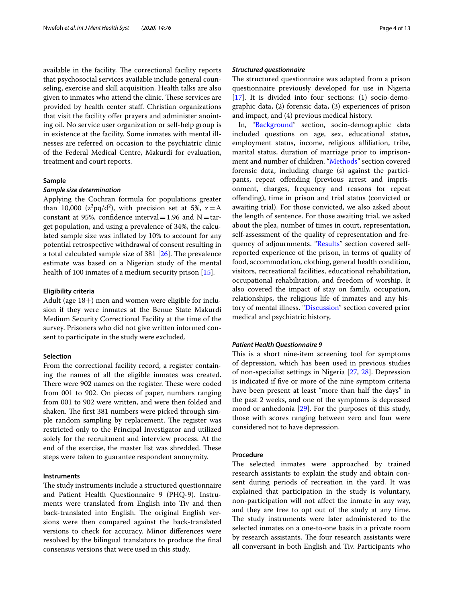available in the facility. The correctional facility reports that psychosocial services available include general counseling, exercise and skill acquisition. Health talks are also given to inmates who attend the clinic. These services are provided by health center staf. Christian organizations that visit the facility offer prayers and administer anointing oil. No service user organization or self-help group is in existence at the facility. Some inmates with mental illnesses are referred on occasion to the psychiatric clinic of the Federal Medical Centre, Makurdi for evaluation, treatment and court reports.

#### **Sample**

# *Sample size determination*

Applying the Cochran formula for populations greater than 10,000 ( $z^2$ pq/d<sup>2</sup>), with precision set at 5%,  $z = A$ constant at 95%, confidence interval = 1.96 and  $N=$ target population, and using a prevalence of 34%, the calculated sample size was infated by 10% to account for any potential retrospective withdrawal of consent resulting in a total calculated sample size of  $381$  [ $26$ ]. The prevalence estimate was based on a Nigerian study of the mental health of 100 inmates of a medium security prison [[15\]](#page-12-8).

#### **Eligibility criteria**

Adult (age 18+) men and women were eligible for inclusion if they were inmates at the Benue State Makurdi Medium Security Correctional Facility at the time of the survey. Prisoners who did not give written informed consent to participate in the study were excluded.

#### **Selection**

From the correctional facility record, a register containing the names of all the eligible inmates was created. There were 902 names on the register. These were coded from 001 to 902. On pieces of paper, numbers ranging from 001 to 902 were written, and were then folded and shaken. The first 381 numbers were picked through simple random sampling by replacement. The register was restricted only to the Principal Investigator and utilized solely for the recruitment and interview process. At the end of the exercise, the master list was shredded. These steps were taken to guarantee respondent anonymity.

#### **Instruments**

The study instruments include a structured questionnaire and Patient Health Questionnaire 9 (PHQ-9). Instruments were translated from English into Tiv and then back-translated into English. The original English versions were then compared against the back-translated versions to check for accuracy. Minor diferences were resolved by the bilingual translators to produce the fnal consensus versions that were used in this study.

#### *Structured questionnaire*

The structured questionnaire was adapted from a prison questionnaire previously developed for use in Nigeria [[17\]](#page-12-10). It is divided into four sections: (1) socio-demographic data, (2) forensic data, (3) experiences of prison and impact, and (4) previous medical history.

In, "[Background](#page-0-0)" section, socio-demographic data included questions on age, sex, educational status, employment status, income, religious affiliation, tribe, marital status, duration of marriage prior to imprisonment and number of children. ["Methods](#page-2-0)" section covered forensic data, including charge (s) against the participants, repeat offending (previous arrest and imprisonment, charges, frequency and reasons for repeat ofending), time in prison and trial status (convicted or awaiting trial). For those convicted, we also asked about the length of sentence. For those awaiting trial, we asked about the plea, number of times in court, representation, self-assessment of the quality of representation and fre-quency of adjournments. ["Results"](#page-4-0) section covered selfreported experience of the prison, in terms of quality of food, accommodation, clothing, general health condition, visitors, recreational facilities, educational rehabilitation, occupational rehabilitation, and freedom of worship. It also covered the impact of stay on family, occupation, relationships, the religious life of inmates and any history of mental illness. "[Discussion"](#page-7-0) section covered prior medical and psychiatric history,

# *Patient Health Questionnaire 9*

This is a short nine-item screening tool for symptoms of depression, which has been used in previous studies of non-specialist settings in Nigeria [[27,](#page-12-20) [28\]](#page-12-21). Depression is indicated if fve or more of the nine symptom criteria have been present at least "more than half the days" in the past 2 weeks, and one of the symptoms is depressed mood or anhedonia [\[29](#page-12-22)]. For the purposes of this study, those with scores ranging between zero and four were considered not to have depression.

#### **Procedure**

The selected inmates were approached by trained research assistants to explain the study and obtain consent during periods of recreation in the yard. It was explained that participation in the study is voluntary, non-participation will not afect the inmate in any way, and they are free to opt out of the study at any time. The study instruments were later administered to the selected inmates on a one-to-one basis in a private room by research assistants. The four research assistants were all conversant in both English and Tiv. Participants who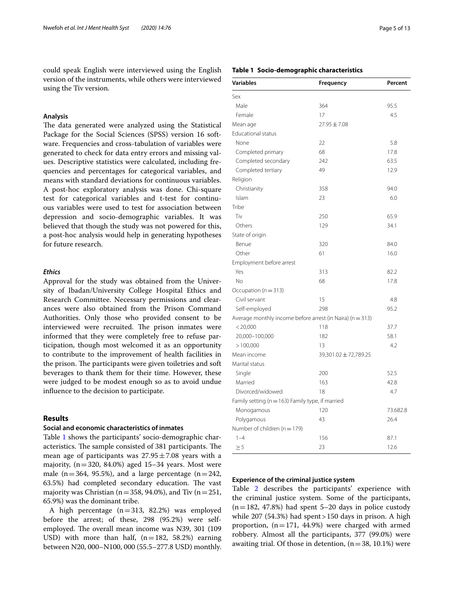could speak English were interviewed using the English version of the instruments, while others were interviewed using the Tiv version.

#### **Analysis**

The data generated were analyzed using the Statistical Package for the Social Sciences (SPSS) version 16 software. Frequencies and cross-tabulation of variables were generated to check for data entry errors and missing values. Descriptive statistics were calculated, including frequencies and percentages for categorical variables, and means with standard deviations for continuous variables. A post-hoc exploratory analysis was done. Chi-square test for categorical variables and t-test for continuous variables were used to test for association between depression and socio-demographic variables. It was believed that though the study was not powered for this, a post-hoc analysis would help in generating hypotheses for future research.

#### *Ethics*

Approval for the study was obtained from the University of Ibadan/University College Hospital Ethics and Research Committee. Necessary permissions and clearances were also obtained from the Prison Command Authorities. Only those who provided consent to be interviewed were recruited. The prison inmates were informed that they were completely free to refuse participation, though most welcomed it as an opportunity to contribute to the improvement of health facilities in the prison. The participants were given toiletries and soft beverages to thank them for their time. However, these were judged to be modest enough so as to avoid undue infuence to the decision to participate.

# <span id="page-4-0"></span>**Results**

# **Social and economic characteristics of inmates**

Table [1](#page-4-1) shows the participants' socio-demographic characteristics. The sample consisted of 381 participants. The mean age of participants was  $27.95 \pm 7.08$  years with a majority,  $(n=320, 84.0%)$  aged 15–34 years. Most were male ( $n=364$ , 95.5%), and a large percentage ( $n=242$ , 63.5%) had completed secondary education. The vast majority was Christian ( $n=358$ , 94.0%), and Tiv ( $n=251$ , 65.9%) was the dominant tribe.

A high percentage (n=313, 82.2%) was employed before the arrest; of these, 298 (95.2%) were selfemployed. The overall mean income was N39, 301 (109 USD) with more than half,  $(n=182, 58.2%)$  earning between N20, 000–N100, 000 (55.5–277.8 USD) monthly.

# <span id="page-4-1"></span>**Table 1 Socio-demographic characteristics**

| <b>Variables</b>                                          | Frequency             | Percent  |
|-----------------------------------------------------------|-----------------------|----------|
| Sex                                                       |                       |          |
| Male                                                      | 364                   | 95.5     |
| Female                                                    | 17                    | 4.5      |
| Mean age                                                  | $27.95 \pm 7.08$      |          |
| <b>Educational status</b>                                 |                       |          |
| None                                                      | 22                    | 5.8      |
| Completed primary                                         | 68                    | 17.8     |
| Completed secondary                                       | 242                   | 63.5     |
| Completed tertiary                                        | 49                    | 12.9     |
| Religion                                                  |                       |          |
| Christianity                                              | 358                   | 94.0     |
| Islam                                                     | 23                    | 6.0      |
| Tribe                                                     |                       |          |
| Tiv                                                       | 250                   | 65.9     |
| Others                                                    | 129                   | 34.1     |
| State of origin                                           |                       |          |
| Benue                                                     | 320                   | 84.0     |
| Other                                                     | 61                    | 16.0     |
| Employment before arrest                                  |                       |          |
| Yes                                                       | 313                   | 82.2     |
| No                                                        | 68                    | 17.8     |
| Occupation ( $n = 313$ )                                  |                       |          |
| Civil servant                                             | 15                    | 4.8      |
| Self-employed                                             | 298                   | 95.2     |
| Average monthly income before arrest (in Naira) (n = 313) |                       |          |
| < 20,000                                                  | 118                   | 37.7     |
| 20,000-100,000                                            | 182                   | 58.1     |
| >100,000                                                  | 13                    | 4.2      |
| Mean income                                               | 39,301.02 ± 72,789.25 |          |
| Marital status                                            |                       |          |
| Single                                                    | 200                   | 52.5     |
| Married                                                   | 163                   | 42.8     |
| Divorced/widowed                                          | 18                    | 4.7      |
| Family setting (n = 163) Family type, if married          |                       |          |
| Monogamous                                                | 120                   | 73.682.8 |
| Polygamous                                                | 43                    | 26.4     |
| Number of children ( $n = 179$ )                          |                       |          |
| $1 - 4$                                                   | 156                   | 87.1     |
| $\geq 5$                                                  | 23                    | 12.6     |

#### **Experience of the criminal justice system**

Table [2](#page-5-0) describes the participants' experience with the criminal justice system. Some of the participants,  $(n=182, 47.8%)$  had spent 5–20 days in police custody while 207 (54.3%) had spent > 150 days in prison. A high proportion,  $(n=171, 44.9%)$  were charged with armed robbery. Almost all the participants, 377 (99.0%) were awaiting trial. Of those in detention,  $(n=38, 10.1\%)$  were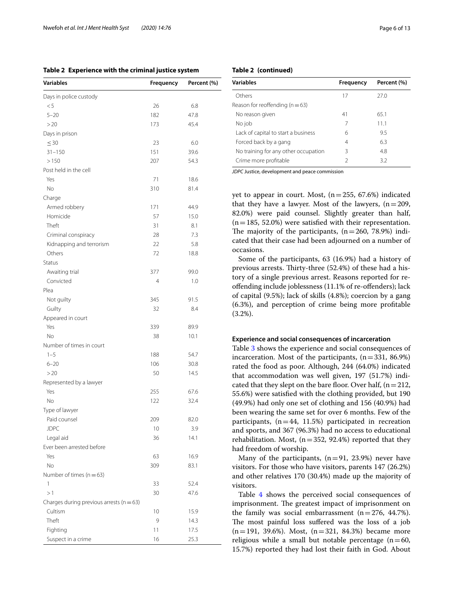<span id="page-5-0"></span>**Table 2 Experience with the criminal justice system**

| Variables                                    | Frequency | Percent (%) |
|----------------------------------------------|-----------|-------------|
| Days in police custody                       |           |             |
| < 5                                          | 26        | 6.8         |
| $5 - 20$                                     | 182       | 47.8        |
| >20                                          | 173       | 45.4        |
| Days in prison                               |           |             |
| $\leq 30$                                    | 23        | 6.0         |
| $31 - 150$                                   | 151       | 39.6        |
| >150                                         | 207       | 54.3        |
| Post held in the cell                        |           |             |
| Yes                                          | 71        | 18.6        |
| No                                           | 310       | 81.4        |
| Charge                                       |           |             |
| Armed robbery                                | 171       | 44.9        |
| Homicide                                     | 57        | 15.0        |
| Theft                                        | 31        | 8.1         |
| Criminal conspiracy                          | 28        | 7.3         |
| Kidnapping and terrorism                     | 22        | 5.8         |
| Others                                       | 72        | 18.8        |
| Status                                       |           |             |
| Awaiting trial                               | 377       | 99.0        |
| Convicted                                    | 4         | 1.0         |
| Plea                                         |           |             |
| Not guilty                                   | 345       | 91.5        |
| Guilty                                       | 32        | 8.4         |
| Appeared in court                            |           |             |
| Yes                                          | 339       | 89.9        |
| No                                           | 38        | 10.1        |
| Number of times in court                     |           |             |
| $1 - 5$                                      | 188       | 54.7        |
| $6 - 20$                                     | 106       | 30.8        |
| >20                                          | 50        | 14.5        |
| Represented by a lawyer                      |           |             |
| Yes                                          | 255       | 67.6        |
| No                                           | 122       | 32.4        |
| Type of lawyer                               |           |             |
| Paid counsel                                 | 209       | 82.0        |
| <b>JDPC</b>                                  | 10        | 3.9         |
| Legal aid                                    | 36        | 14.1        |
| Ever been arrested before                    |           |             |
| Yes                                          | 63        | 16.9        |
| No                                           | 309       | 83.1        |
| Number of times ( $n = 63$ )                 |           |             |
| 1                                            | 33        | 52.4        |
| >1                                           | 30        | 47.6        |
| Charges during previous arrests ( $n = 63$ ) |           |             |
| Cultism                                      | 10        | 15.9        |
| Theft                                        | 9         | 14.3        |
| Fighting                                     | 11        | 17.5        |
| Suspect in a crime                           | 16        | 25.3        |

# **Table 2 (continued)**

| Variables                            | Frequency | Percent (%) |
|--------------------------------------|-----------|-------------|
| Others                               | 17        | 27.0        |
| Reason for reoffending ( $n = 63$ )  |           |             |
| No reason given                      | 41        | 65.1        |
| No job                               | 7         | 11.1        |
| Lack of capital to start a business  | 6         | 9.5         |
| Forced back by a gang                | 4         | 6.3         |
| No training for any other occupation | 3         | 4.8         |
| Crime more profitable                | 2         | 3.2         |

*JDPC* Justice, development and peace commission

yet to appear in court. Most,  $(n=255, 67.6%)$  indicated that they have a lawyer. Most of the lawyers,  $(n=209,$ 82.0%) were paid counsel. Slightly greater than half,  $(n=185, 52.0\%)$  were satisfied with their representation. The majority of the participants,  $(n=260, 78.9%)$  indicated that their case had been adjourned on a number of occasions.

Some of the participants, 63 (16.9%) had a history of previous arrests. Thirty-three (52.4%) of these had a history of a single previous arrest. Reasons reported for reofending include joblessness (11.1% of re-ofenders); lack of capital (9.5%); lack of skills (4.8%); coercion by a gang (6.3%), and perception of crime being more proftable (3.2%).

#### **Experience and social consequences of incarceration**

Table [3](#page-6-0) shows the experience and social consequences of incarceration. Most of the participants,  $(n=331, 86.9%)$ rated the food as poor. Although, 244 (64.0%) indicated that accommodation was well given, 197 (51.7%) indicated that they slept on the bare floor. Over half,  $(n=212,$ 55.6%) were satisfed with the clothing provided, but 190 (49.9%) had only one set of clothing and 156 (40.9%) had been wearing the same set for over 6 months. Few of the participants,  $(n=44, 11.5%)$  participated in recreation and sports, and 367 (96.3%) had no access to educational rehabilitation. Most,  $(n=352, 92.4%)$  reported that they had freedom of worship.

Many of the participants,  $(n=91, 23.9%)$  never have visitors. For those who have visitors, parents 147 (26.2%) and other relatives 170 (30.4%) made up the majority of visitors.

Table [4](#page-6-1) shows the perceived social consequences of imprisonment. The greatest impact of imprisonment on the family was social embarrassment  $(n=276, 44.7\%)$ . The most painful loss suffered was the loss of a job  $(n=191, 39.6\%)$ . Most,  $(n=321, 84.3\%)$  became more religious while a small but notable percentage  $(n=60,$ 15.7%) reported they had lost their faith in God. About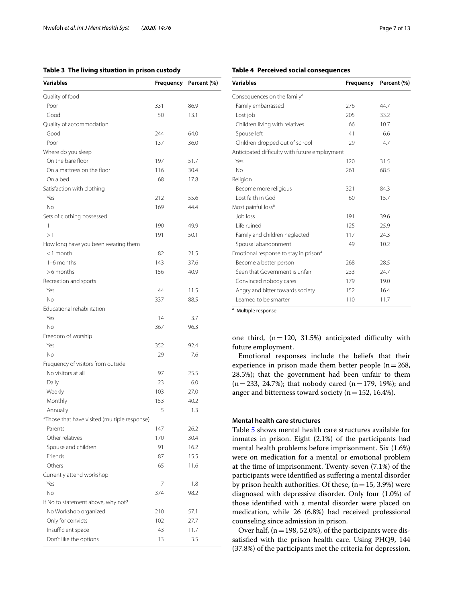# <span id="page-6-0"></span>**Table 3 The living situation in prison custody**

| <b>Variables</b>                             |     | Frequency Percent (%) |
|----------------------------------------------|-----|-----------------------|
| Quality of food                              |     |                       |
| Poor                                         | 331 | 86.9                  |
| Good                                         | 50  | 13.1                  |
| Quality of accommodation                     |     |                       |
| Good                                         | 244 | 64.0                  |
| Poor                                         | 137 | 36.0                  |
| Where do you sleep                           |     |                       |
| On the bare floor                            | 197 | 51.7                  |
| On a mattress on the floor                   | 116 | 30.4                  |
| On a bed                                     | 68  | 17.8                  |
| Satisfaction with clothing                   |     |                       |
| Yes                                          | 212 | 55.6                  |
| No                                           | 169 | 44.4                  |
| Sets of clothing possessed                   |     |                       |
| 1                                            | 190 | 49.9                  |
| >1                                           | 191 | 50.1                  |
| How long have you been wearing them          |     |                       |
| $<$ 1 month                                  | 82  | 21.5                  |
| 1-6 months                                   | 143 | 37.6                  |
| $>6$ months                                  | 156 | 40.9                  |
| Recreation and sports                        |     |                       |
| Yes                                          | 44  | 11.5                  |
| No                                           | 337 | 88.5                  |
| Educational rehabilitation                   |     |                       |
| Yes                                          | 14  | 3.7                   |
| No                                           | 367 | 96.3                  |
| Freedom of worship                           |     |                       |
| Yes                                          | 352 | 92.4                  |
| No                                           | 29  | 7.6                   |
| Frequency of visitors from outside           |     |                       |
| No visitors at all                           | 97  | 25.5                  |
| Daily                                        | 23  | 6.0                   |
| Weekly                                       | 103 | 27.0                  |
| Monthly                                      | 153 | 40.2                  |
| Annually                                     | 5   | 1.3                   |
| *Those that have visited (multiple response) |     |                       |
| Parents                                      | 147 | 26.2                  |
| Other relatives                              | 170 | 30.4                  |
| Spouse and children                          | 91  | 16.2                  |
| Friends                                      | 87  | 15.5                  |
| Others                                       | 65  | 11.6                  |
| Currently attend workshop                    |     |                       |
| Yes                                          | 7   | 1.8                   |
| No                                           | 374 | 98.2                  |
| If No to statement above, why not?           |     |                       |
| No Workshop organized                        | 210 | 57.1                  |
| Only for convicts                            | 102 | 27.7                  |
| Insufficient space                           | 43  | 11.7                  |
| Don't like the options                       | 13  | 3.5                   |

# <span id="page-6-1"></span>**Table 4 Perceived social consequences**

| <b>Variables</b>                                  | Frequency | Percent (%) |
|---------------------------------------------------|-----------|-------------|
| Consequences on the family <sup>a</sup>           |           |             |
| Family embarrassed                                | 276       | 44.7        |
| Lost job                                          | 205       | 33.2        |
| Children living with relatives                    | 66        | 10.7        |
| Spouse left                                       | 41        | 6.6         |
| Children dropped out of school                    | 29        | 4.7         |
| Anticipated difficulty with future employment     |           |             |
| Yes                                               | 120       | 31.5        |
| No                                                | 261       | 68.5        |
| Religion                                          |           |             |
| Become more religious                             | 321       | 84.3        |
| Lost faith in God                                 | 60        | 15.7        |
| Most painful loss <sup>a</sup>                    |           |             |
| Job loss                                          | 191       | 39.6        |
| Life ruined                                       | 125       | 25.9        |
| Family and children neglected                     | 117       | 24.3        |
| Spousal abandonment                               | 49        | 10.2        |
| Emotional response to stay in prison <sup>a</sup> |           |             |
| Become a better person                            | 268       | 28.5        |
| Seen that Government is unfair                    | 233       | 24.7        |
| Convinced nobody cares                            | 179       | 19.0        |
| Angry and bitter towards society                  | 152       | 16.4        |
| Learned to be smarter                             | 110       | 11.7        |
|                                                   |           |             |

<sup>a</sup> Multiple response

one third,  $(n=120, 31.5%)$  anticipated difficulty with future employment.

Emotional responses include the beliefs that their experience in prison made them better people  $(n=268,$ 28.5%); that the government had been unfair to them  $(n=233, 24.7\%)$ ; that nobody cared  $(n=179, 19\%)$ ; and anger and bitterness toward society ( $n=152$ , 16.4%).

# **Mental health care structures**

Table [5](#page-7-1) shows mental health care structures available for inmates in prison. Eight (2.1%) of the participants had mental health problems before imprisonment. Six (1.6%) were on medication for a mental or emotional problem at the time of imprisonment. Twenty-seven (7.1%) of the participants were identifed as sufering a mental disorder by prison health authorities. Of these,  $(n=15, 3.9%)$  were diagnosed with depressive disorder. Only four (1.0%) of those identifed with a mental disorder were placed on medication, while 26 (6.8%) had received professional counseling since admission in prison.

Over half,  $(n=198, 52.0%)$ , of the participants were dissatisfed with the prison health care. Using PHQ9, 144 (37.8%) of the participants met the criteria for depression.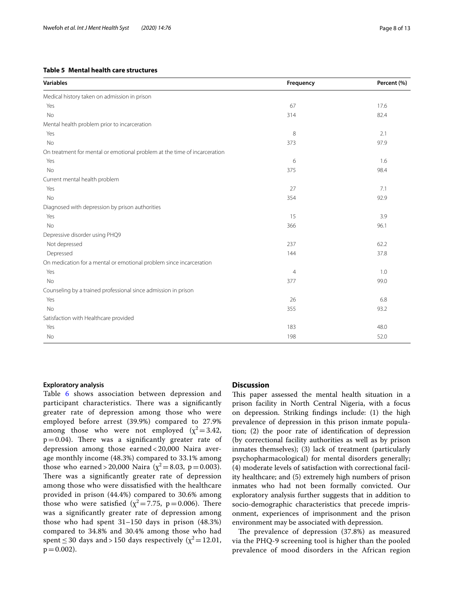#### <span id="page-7-1"></span>**Table 5 Mental health care structures**

| <b>Variables</b>                                                          | Frequency      | Percent (%) |
|---------------------------------------------------------------------------|----------------|-------------|
| Medical history taken on admission in prison                              |                |             |
| Yes                                                                       | 67             | 17.6        |
| No                                                                        | 314            | 82.4        |
| Mental health problem prior to incarceration                              |                |             |
| Yes                                                                       | 8              | 2.1         |
| <b>No</b>                                                                 | 373            | 97.9        |
| On treatment for mental or emotional problem at the time of incarceration |                |             |
| Yes                                                                       | 6              | 1.6         |
| <b>No</b>                                                                 | 375            | 98.4        |
| Current mental health problem                                             |                |             |
| Yes                                                                       | 27             | 7.1         |
| No                                                                        | 354            | 92.9        |
| Diagnosed with depression by prison authorities                           |                |             |
| Yes                                                                       | 15             | 3.9         |
| No                                                                        | 366            | 96.1        |
| Depressive disorder using PHQ9                                            |                |             |
| Not depressed                                                             | 237            | 62.2        |
| Depressed                                                                 | 144            | 37.8        |
| On medication for a mental or emotional problem since incarceration       |                |             |
| Yes                                                                       | $\overline{4}$ | 1.0         |
| <b>No</b>                                                                 | 377            | 99.0        |
| Counseling by a trained professional since admission in prison            |                |             |
| Yes                                                                       | 26             | 6.8         |
| <b>No</b>                                                                 | 355            | 93.2        |
| Satisfaction with Healthcare provided                                     |                |             |
| Yes                                                                       | 183            | 48.0        |
| No                                                                        | 198            | 52.0        |

#### **Exploratory analysis**

Table [6](#page-8-0) shows association between depression and participant characteristics. There was a significantly greater rate of depression among those who were employed before arrest (39.9%) compared to 27.9% among those who were not employed  $(x^2=3.42,$  $p=0.04$ ). There was a significantly greater rate of depression among those earned < 20,000 Naira average monthly income (48.3%) compared to 33.1% among those who earned > 20,000 Naira ( $\chi^2$  = 8.03, p = 0.003). There was a significantly greater rate of depression among those who were dissatisfed with the healthcare provided in prison (44.4%) compared to 30.6% among those who were satisfied  $(x^2 = 7.75, p = 0.006)$ . There was a signifcantly greater rate of depression among those who had spent 31–150 days in prison (48.3%) compared to 34.8% and 30.4% among those who had spent  $\leq$  30 days and > 150 days respectively ( $\chi^2$  = 12.01,  $p = 0.002$ ).

#### <span id="page-7-0"></span>**Discussion**

This paper assessed the mental health situation in a prison facility in North Central Nigeria, with a focus on depression. Striking fndings include: (1) the high prevalence of depression in this prison inmate population; (2) the poor rate of identifcation of depression (by correctional facility authorities as well as by prison inmates themselves); (3) lack of treatment (particularly psychopharmacological) for mental disorders generally; (4) moderate levels of satisfaction with correctional facility healthcare; and (5) extremely high numbers of prison inmates who had not been formally convicted. Our exploratory analysis further suggests that in addition to socio-demographic characteristics that precede imprisonment, experiences of imprisonment and the prison environment may be associated with depression.

The prevalence of depression (37.8%) as measured via the PHQ-9 screening tool is higher than the pooled prevalence of mood disorders in the African region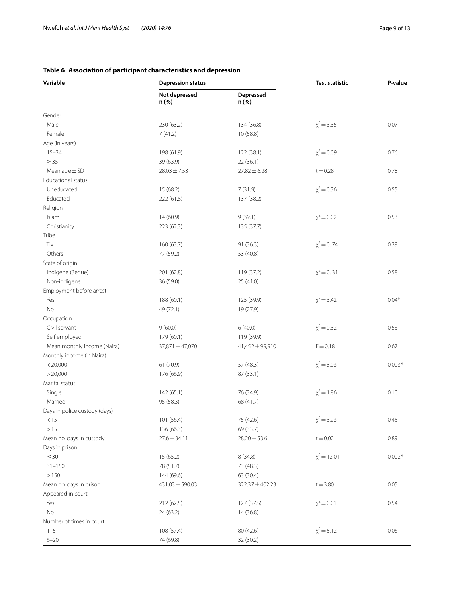# **Variable Depression status Test statistic P-value Not depressed n (%) Depressed n (%)** Gender Male 230 (63.2)  $230 (63.2)$  134 (36.8)  $\chi^2 = 3.35$  0.07 Female 10 (58.8) Age (in years) 15–34 198 (61.9) 122 (38.1)  $\chi^2 = 0.09$  0.76  $\geq$  35 39 (63.9) 22 (36.1) Mean age $\pm$ SD 27.82 $\pm$ 7.53 27.82 $\pm$ 6.28 t=0.28 t=0.28 0.78 Educational status Uneducated 15 (68.2) 15 (68.2) 7 (31.9)  $\chi^2 = 0.36$  0.55 Educated 222 (61.8) 137 (38.2) Religion Islam 14 (60.9)  $(39.1)$  9 (39.1)  $\chi^2 = 0.02$  0.53 Christianity 223 (62.3) 135 (37.7) **Tribe** Tiv 160 (63.7) 91 (36.3)  $\chi^2 = 0.74$  0.39 Others 53 (40.8) State of origin Indigene (Benue) 201 (62.8) 201 (62.8) 119 (37.2)  $\chi^2 = 0.31$  0.58 Non-indigene 36 (59.0) 25 (41.0) Employment before arrest Yes 188 (60.1) 125 (39.9)  $\chi^2 = 3.42$  0.04\* No 19 (27.9) Occupation Civil servant 6 (40.0)  $\gamma^2 = 0.32$  0.53 Self employed 179 (60.1) 179 (60.1) 119 (39.9) Mean monthly income (Naira) 37,871±47,070 41,452±99,910 F=0.18 0.67 Monthly income (in Naira)  $(70.9)$  61 (70.9) 61 (70.9) 57 (48.3)  $\chi^2 = 8.03$  0.003\* >20,000 176 (66.9) 87 (33.1) Marital status Single 142 (65.1)  $76 (34.9) \t\t 76 (34.9) \t\t 76 (34.9)$ Married 95 (58.3) 68 (41.7) Days in police custody (days)  $\times$ 15  $\times$  101 (56.4) 101 (56.4) 75 (42.6)  $\times$   $\chi^2$  = 3.23 0.45 >15 136 (66.3) 69 (33.7) Mean no. days in custody 27.6 ± 34.11 28.20 ± 53.6 t=0.02 0.89 Days in prison  $\leq$  30 15 (65.2) 15 (65.2) 8 (34.8)  $\chi^2 = 12.01$  0.002\* 31–150 78 (51.7) 73 (48.3) >150 144 (69.6) 63 (30.4) Mean no. days in prison  $431.03 \pm 590.03$   $322.37 \pm 402.23$   $t = 3.80$  0.05 Appeared in court Yes 212 (62.5)  $212 (62.5)$  127 (37.5)  $\chi^2 = 0.01$  0.54 No 24 (63.2) 14 (36.8) Number of times in court 1–5 1–5 108 (57.4)  $108 (57.4)$  80 (42.6)  $\chi^2 = 5.12$  0.06 6–20 74 (69.8) 32 (30.2)

# <span id="page-8-0"></span>**Table 6 Association of participant characteristics and depression**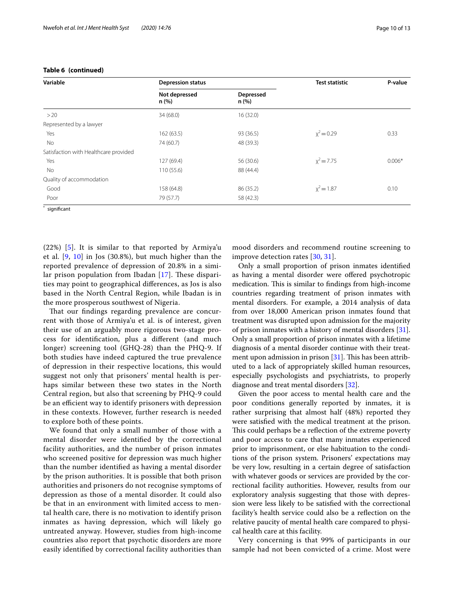| Variable                              | <b>Depression status</b> |                    |              | P-value  |
|---------------------------------------|--------------------------|--------------------|--------------|----------|
|                                       | Not depressed<br>n (%)   | Depressed<br>n (%) |              |          |
| >20                                   | 34 (68.0)                | 16 (32.0)          |              |          |
| Represented by a lawyer               |                          |                    |              |          |
| Yes                                   | 162 (63.5)               | 93 (36.5)          | $x^2 = 0.29$ | 0.33     |
| <b>No</b>                             | 74 (60.7)                | 48 (39.3)          |              |          |
| Satisfaction with Healthcare provided |                          |                    |              |          |
| Yes                                   | 127 (69.4)               | 56 (30.6)          | $x^2 = 7.75$ | $0.006*$ |
| <b>No</b>                             | 110 (55.6)               | 88 (44.4)          |              |          |
| Quality of accommodation              |                          |                    |              |          |
| Good                                  | 158 (64.8)               | 86 (35.2)          | $x^2 = 1.87$ | 0.10     |
| Poor                                  | 79 (57.7)                | 58 (42.3)          |              |          |

# **Table 6 (continued)**

significant

(22%) [[5\]](#page-11-4). It is similar to that reported by Armiya'u et al.  $[9, 10]$  $[9, 10]$  $[9, 10]$  $[9, 10]$  $[9, 10]$  in Jos  $(30.8\%)$ , but much higher than the reported prevalence of depression of 20.8% in a similar prison population from Ibadan  $[17]$  $[17]$  $[17]$ . These disparities may point to geographical diferences, as Jos is also based in the North Central Region, while Ibadan is in the more prosperous southwest of Nigeria.

That our findings regarding prevalence are concurrent with those of Armiya'u et al. is of interest, given their use of an arguably more rigorous two-stage process for identifcation, plus a diferent (and much longer) screening tool (GHQ-28) than the PHQ-9. If both studies have indeed captured the true prevalence of depression in their respective locations, this would suggest not only that prisoners' mental health is perhaps similar between these two states in the North Central region, but also that screening by PHQ-9 could be an efficient way to identify prisoners with depression in these contexts. However, further research is needed to explore both of these points.

We found that only a small number of those with a mental disorder were identifed by the correctional facility authorities, and the number of prison inmates who screened positive for depression was much higher than the number identifed as having a mental disorder by the prison authorities. It is possible that both prison authorities and prisoners do not recognise symptoms of depression as those of a mental disorder. It could also be that in an environment with limited access to mental health care, there is no motivation to identify prison inmates as having depression, which will likely go untreated anyway. However, studies from high-income countries also report that psychotic disorders are more easily identifed by correctional facility authorities than mood disorders and recommend routine screening to improve detection rates [\[30](#page-12-23), [31](#page-12-24)].

Only a small proportion of prison inmates identifed as having a mental disorder were offered psychotropic medication. This is similar to findings from high-income countries regarding treatment of prison inmates with mental disorders. For example, a 2014 analysis of data from over 18,000 American prison inmates found that treatment was disrupted upon admission for the majority of prison inmates with a history of mental disorders [\[31](#page-12-24)]. Only a small proportion of prison inmates with a lifetime diagnosis of a mental disorder continue with their treatment upon admission in prison  $[31]$  $[31]$ . This has been attributed to a lack of appropriately skilled human resources, especially psychologists and psychiatrists, to properly diagnose and treat mental disorders [\[32](#page-12-25)].

Given the poor access to mental health care and the poor conditions generally reported by inmates, it is rather surprising that almost half (48%) reported they were satisfed with the medical treatment at the prison. This could perhaps be a reflection of the extreme poverty and poor access to care that many inmates experienced prior to imprisonment, or else habituation to the conditions of the prison system. Prisoners' expectations may be very low, resulting in a certain degree of satisfaction with whatever goods or services are provided by the correctional facility authorities. However, results from our exploratory analysis suggesting that those with depression were less likely to be satisfed with the correctional facility's health service could also be a refection on the relative paucity of mental health care compared to physical health care at this facility.

Very concerning is that 99% of participants in our sample had not been convicted of a crime. Most were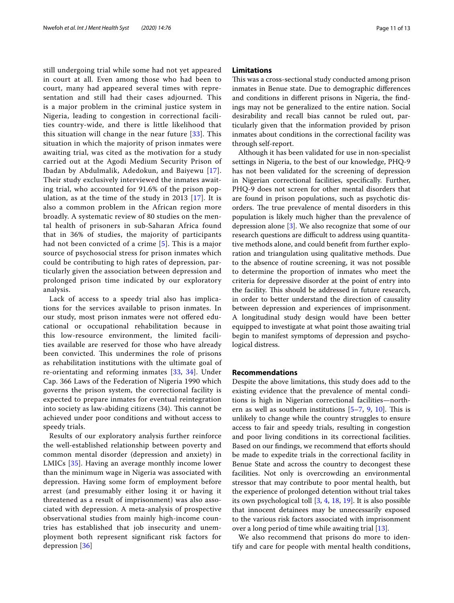still undergoing trial while some had not yet appeared in court at all. Even among those who had been to court, many had appeared several times with representation and still had their cases adjourned. This is a major problem in the criminal justice system in Nigeria, leading to congestion in correctional facilities country-wide, and there is little likelihood that this situation will change in the near future  $[33]$ . This situation in which the majority of prison inmates were awaiting trial, was cited as the motivation for a study carried out at the Agodi Medium Security Prison of Ibadan by Abdulmalik, Adedokun, and Baiyewu [[17\]](#page-12-10). Their study exclusively interviewed the inmates awaiting trial, who accounted for 91.6% of the prison population, as at the time of the study in 2013 [[17\]](#page-12-10). It is also a common problem in the African region more broadly. A systematic review of 80 studies on the mental health of prisoners in sub-Saharan Africa found that in 36% of studies, the majority of participants had not been convicted of a crime [[5\]](#page-11-4). This is a major source of psychosocial stress for prison inmates which could be contributing to high rates of depression, particularly given the association between depression and prolonged prison time indicated by our exploratory analysis.

Lack of access to a speedy trial also has implications for the services available to prison inmates. In our study, most prison inmates were not ofered educational or occupational rehabilitation because in this low-resource environment, the limited facilities available are reserved for those who have already been convicted. This undermines the role of prisons as rehabilitation institutions with the ultimate goal of re-orientating and reforming inmates [[33](#page-12-26), [34\]](#page-12-27). Under Cap. 366 Laws of the Federation of Nigeria 1990 which governs the prison system, the correctional facility is expected to prepare inmates for eventual reintegration into society as law-abiding citizens (34). This cannot be achieved under poor conditions and without access to speedy trials.

Results of our exploratory analysis further reinforce the well-established relationship between poverty and common mental disorder (depression and anxiety) in LMICs [[35\]](#page-12-28). Having an average monthly income lower than the minimum wage in Nigeria was associated with depression. Having some form of employment before arrest (and presumably either losing it or having it threatened as a result of imprisonment) was also associated with depression. A meta-analysis of prospective observational studies from mainly high-income countries has established that job insecurity and unemployment both represent signifcant risk factors for depression [[36](#page-12-29)]

#### **Limitations**

This was a cross-sectional study conducted among prison inmates in Benue state. Due to demographic diferences and conditions in diferent prisons in Nigeria, the fndings may not be generalized to the entire nation. Social desirability and recall bias cannot be ruled out, particularly given that the information provided by prison inmates about conditions in the correctional facility was through self-report.

Although it has been validated for use in non-specialist settings in Nigeria, to the best of our knowledge, PHQ-9 has not been validated for the screening of depression in Nigerian correctional facilities, specifcally. Further, PHQ-9 does not screen for other mental disorders that are found in prison populations, such as psychotic disorders. The true prevalence of mental disorders in this population is likely much higher than the prevalence of depression alone [[3](#page-11-2)]. We also recognize that some of our research questions are difficult to address using quantitative methods alone, and could beneft from further exploration and triangulation using qualitative methods. Due to the absence of routine screening, it was not possible to determine the proportion of inmates who meet the criteria for depressive disorder at the point of entry into the facility. This should be addressed in future research, in order to better understand the direction of causality between depression and experiences of imprisonment. A longitudinal study design would have been better equipped to investigate at what point those awaiting trial begin to manifest symptoms of depression and psychological distress.

#### **Recommendations**

Despite the above limitations, this study does add to the existing evidence that the prevalence of mental conditions is high in Nigerian correctional facilities—northern as well as southern institutions  $[5-7, 9, 10]$  $[5-7, 9, 10]$  $[5-7, 9, 10]$  $[5-7, 9, 10]$  $[5-7, 9, 10]$  $[5-7, 9, 10]$  $[5-7, 9, 10]$ . This is unlikely to change while the country struggles to ensure access to fair and speedy trials, resulting in congestion and poor living conditions in its correctional facilities. Based on our findings, we recommend that efforts should be made to expedite trials in the correctional facility in Benue State and across the country to decongest these facilities. Not only is overcrowding an environmental stressor that may contribute to poor mental health, but the experience of prolonged detention without trial takes its own psychological toll [\[3](#page-11-2), [4](#page-11-3), [18](#page-12-11), [19](#page-12-12)]. It is also possible that innocent detainees may be unnecessarily exposed to the various risk factors associated with imprisonment over a long period of time while awaiting trial [[13](#page-12-6)].

We also recommend that prisons do more to identify and care for people with mental health conditions,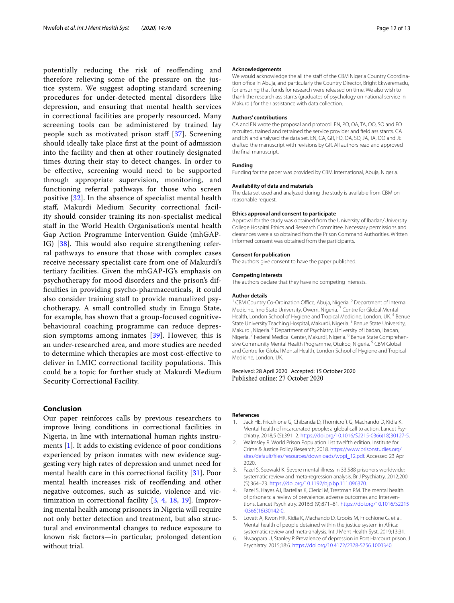potentially reducing the risk of reofending and therefore relieving some of the pressure on the justice system. We suggest adopting standard screening procedures for under-detected mental disorders like depression, and ensuring that mental health services in correctional facilities are properly resourced. Many screening tools can be administered by trained lay people such as motivated prison staff  $[37]$  $[37]$ . Screening should ideally take place frst at the point of admission into the facility and then at other routinely designated times during their stay to detect changes. In order to be efective, screening would need to be supported through appropriate supervision, monitoring, and functioning referral pathways for those who screen positive [[32](#page-12-25)]. In the absence of specialist mental health staf, Makurdi Medium Security correctional facility should consider training its non-specialist medical staf in the World Health Organisation's mental health Gap Action Programme Intervention Guide (mhGAP-IG)  $[38]$  $[38]$ . This would also require strengthening referral pathways to ensure that those with complex cases receive necessary specialist care from one of Makurdi's tertiary facilities. Given the mhGAP-IG's emphasis on psychotherapy for mood disorders and the prison's diffculties in providing psycho-pharmaceuticals, it could also consider training staff to provide manualized psychotherapy. A small controlled study in Enugu State, for example, has shown that a group-focused cognitivebehavioural coaching programme can reduce depression symptoms among inmates [[39](#page-12-32)]. However, this is an under-researched area, and more studies are needed to determine which therapies are most cost-efective to deliver in LMIC correctional facility populations. This could be a topic for further study at Makurdi Medium Security Correctional Facility.

# **Conclusion**

Our paper reinforces calls by previous researchers to improve living conditions in correctional facilities in Nigeria, in line with international human rights instruments [[1\]](#page-11-0). It adds to existing evidence of poor conditions experienced by prison inmates with new evidence suggesting very high rates of depression and unmet need for mental health care in this correctional facility [[31\]](#page-12-24). Poor mental health increases risk of reofending and other negative outcomes, such as suicide, violence and victimization in correctional facility [\[3](#page-11-2), [4,](#page-11-3) [18](#page-12-11), [19\]](#page-12-12). Improving mental health among prisoners in Nigeria will require not only better detection and treatment, but also structural and environmental changes to reduce exposure to known risk factors—in particular, prolonged detention without trial.

#### **Acknowledgements**

We would acknowledge the all the staff of the CBM Nigeria Country Coordination office in Abuja, and particularly the Country Director, Bright Ekweremadu, for ensuring that funds for research were released on time. We also wish to thank the research assistants (graduates of psychology on national service in Makurdi) for their assistance with data collection.

#### **Authors' contributions**

CA and EN wrote the proposal and protocol. EN, PO, OA, TA, OO, SO and FO recruited, trained and retrained the service provider and feld assistants. CA and EN and analysed the data set. EN, CA, GR, FO, OA, SO, JA, TA, OO and JE drafted the manuscript with revisions by GR. All authors read and approved the fnal manuscript.

#### **Funding**

Funding for the paper was provided by CBM International, Abuja, Nigeria.

#### **Availability of data and materials**

The data set used and analyzed during the study is available from CBM on reasonable request.

#### **Ethics approval and consent to participate**

Approval for the study was obtained from the University of Ibadan/University College Hospital Ethics and Research Committee. Necessary permissions and clearances were also obtained from the Prison Command Authorities. Written informed consent was obtained from the participants.

#### **Consent for publication**

The authors give consent to have the paper published.

#### **Competing interests** The authors declare that they have no competing interests.

# **Author details**

 $1$  CBM Country Co-Ordination Office, Abuja, Nigeria.<sup>2</sup> Department of Internal Medicine, Imo State University, Owerri, Nigeria.<sup>3</sup> Centre for Global Mental Health, London School of Hygiene and Tropical Medicine, London, UK. 4 Benue State University Teaching Hospital, Makurdi, Nigeria.<sup>5</sup> Benue State University, Makurdi, Nigeria. <sup>6</sup> Department of Psychiatry, University of Ibadan, Ibadan, Nigeria.<sup>7</sup> Federal Medical Center, Makurdi, Nigeria. <sup>8</sup> Benue State Comprehensive Community Mental Health Programme, Otukpo, Nigeria. <sup>9</sup> CBM Global and Centre for Global Mental Health, London School of Hygiene and Tropical Medicine, London, UK.

# Received: 28 April 2020 Accepted: 15 October 2020

#### **References**

- <span id="page-11-0"></span>Jack HE, Fricchione G, Chibanda D, Thornicroft G, Machando D, Kidia K. Mental health of incarcerated people: a global call to action. Lancet Psychiatry. 2018;5 (5):391–2. [https://doi.org/10.1016/S2215-0366\(18\)30127-5.](https://doi.org/10.1016/S2215-0366(18)30127-5)
- <span id="page-11-1"></span>2. Walmsley R. World Prison Population List twelfth edition. Institute for Crime & Justice Policy Research; 2018. [https://www.prisonstudies.org/](https://www.prisonstudies.org/sites/default/files/resources/downloads/wppl_12.pdf) [sites/default/fles/resources/downloads/wppl\\_12.pdf.](https://www.prisonstudies.org/sites/default/files/resources/downloads/wppl_12.pdf) Accessed 23 Apr 2020.
- <span id="page-11-2"></span>3. Fazel S, Seewald K. Severe mental illness in 33,588 prisoners worldwide: systematic review and meta-regression analysis. Br J Psychiatry. 2012;200 (5):364–73. <https://doi.org/10.1192/bjp.bp.111.096370>.
- <span id="page-11-3"></span>4. Fazel S, Hayes AJ, Bartellas K, Clerici M, Trestman RM. The mental health of prisoners: a review of prevalence, adverse outcomes and interventions. Lancet Psychiatry. 2016;3 (9):871–81. [https://doi.org/10.1016/S2215](https://doi.org/10.1016/S2215-0366(16)30142-0) [-0366\(16\)30142-0](https://doi.org/10.1016/S2215-0366(16)30142-0).
- <span id="page-11-4"></span>5. Lovett A, Kwon HR, Kidia K, Machando D, Crooks M, Fricchione G, et al. Mental health of people detained within the justice system in Africa: systematic review and meta-analysis. Int J Ment Health Syst. 2019;13:31.
- <span id="page-11-5"></span>6. Nwaopara U, Stanley P. Prevalence of depression in Port Harcourt prison. J Psychiatry. 2015;18:6. [https://doi.org/10.4172/2378-5756.1000340.](https://doi.org/10.4172/2378-5756.1000340)